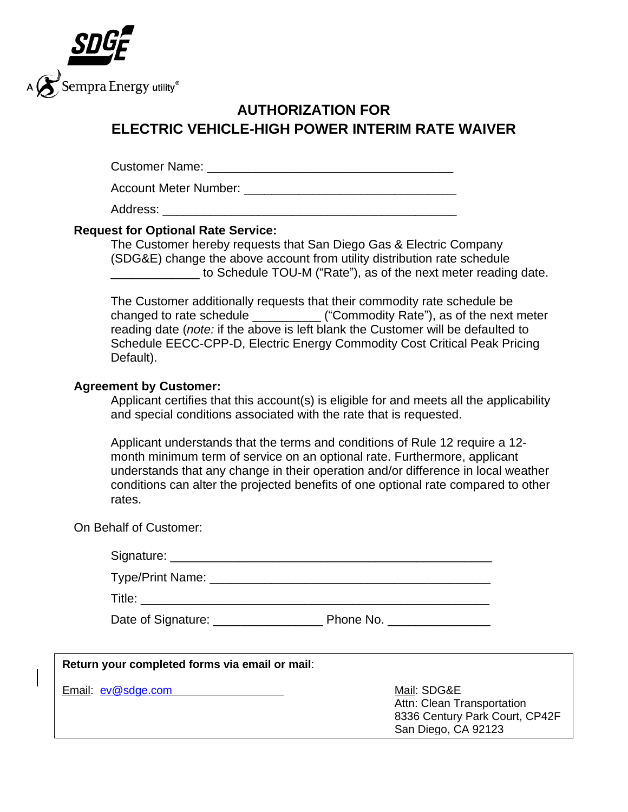

## **AUTHORIZATION FOR ELECTRIC VEHICLE-HIGH POWER INTERIM RATE WAIVER**

Customer Name: **Example 20** and 20 and 20 and 20 and 20 and 20 and 20 and 20 and 20 and 20 and 20 and 20 and 20 and 20 and 20 and 20 and 20 and 20 and 20 and 20 and 20 and 20 and 20 and 20 and 20 and 20 and 20 and 20 and 2

Account Meter Number: **Example 20** and the set of the set of the set of the set of the set of the set of the set of the set of the set of the set of the set of the set of the set of the set of the set of the set of the set

Address:

## **Request for Optional Rate Service:**

The Customer hereby requests that San Diego Gas & Electric Company (SDG&E) change the above account from utility distribution rate schedule to Schedule TOU-M ("Rate"), as of the next meter reading date.

The Customer additionally requests that their commodity rate schedule be changed to rate schedule \_\_\_\_\_\_\_\_\_\_ ("Commodity Rate"), as of the next meter reading date (*note:* if the above is left blank the Customer will be defaulted to Schedule EECC-CPP-D, Electric Energy Commodity Cost Critical Peak Pricing Default).

## **Agreement by Customer:**

Applicant certifies that this account(s) is eligible for and meets all the applicability and special conditions associated with the rate that is requested.

Applicant understands that the terms and conditions of Rule 12 require a 12 month minimum term of service on an optional rate. Furthermore, applicant understands that any change in their operation and/or difference in local weather conditions can alter the projected benefits of one optional rate compared to other rates.

On Behalf of Customer:

| Signature: _____________ |           |
|--------------------------|-----------|
| Type/Print Name:         |           |
| Title:                   |           |
| Date of Signature:       | Phone No. |